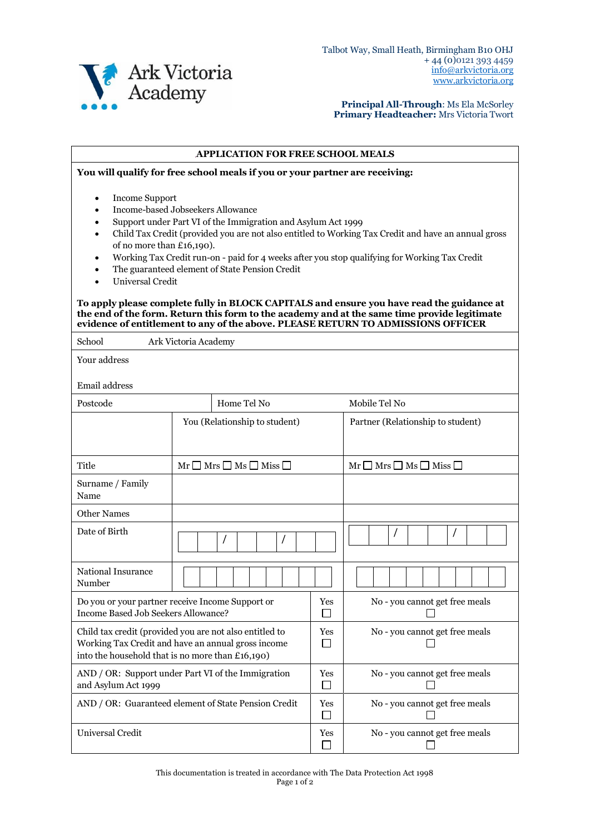

**Principal All-Through**: Ms Ela McSorley **Primary Headteacher:** Mrs Victoria Twort

## **APPLICATION FOR FREE SCHOOL MEALS**

**You will qualify for free school meals if you or your partner are receiving:**

- Income Support
- Income-based Jobseekers Allowance
- Support under Part VI of the Immigration and Asylum Act 1999
- Child Tax Credit (provided you are not also entitled to Working Tax Credit and have an annual gross of no more than £16,190).
- Working Tax Credit run-on paid for 4 weeks after you stop qualifying for Working Tax Credit
- The guaranteed element of State Pension Credit
- Universal Credit

## **To apply please complete fully in BLOCK CAPITALS and ensure you have read the guidance at the end of the form. Return this form to the academy and at the same time provide legitimate evidence of entitlement to any of the above. PLEASE RETURN TO ADMISSIONS OFFICER**

| School<br>Ark Victoria Academy                                                                                                                                    |                                                  |     |                                      |  |  |  |
|-------------------------------------------------------------------------------------------------------------------------------------------------------------------|--------------------------------------------------|-----|--------------------------------------|--|--|--|
| Your address                                                                                                                                                      |                                                  |     |                                      |  |  |  |
| Email address                                                                                                                                                     |                                                  |     |                                      |  |  |  |
| Postcode                                                                                                                                                          | Home Tel No                                      |     | Mobile Tel No                        |  |  |  |
|                                                                                                                                                                   | You (Relationship to student)                    |     | Partner (Relationship to student)    |  |  |  |
|                                                                                                                                                                   |                                                  |     |                                      |  |  |  |
| Title                                                                                                                                                             | $Mr \Box Mrs \Box Ms \Box Miss \Box$             |     | $Mr \Box Mrs \Box Ms \Box Miss \Box$ |  |  |  |
| Surname / Family<br>Name                                                                                                                                          |                                                  |     |                                      |  |  |  |
| <b>Other Names</b>                                                                                                                                                |                                                  |     |                                      |  |  |  |
| Date of Birth                                                                                                                                                     |                                                  |     |                                      |  |  |  |
| <b>National Insurance</b><br>Number                                                                                                                               |                                                  |     |                                      |  |  |  |
| <b>Income Based Job Seekers Allowance?</b>                                                                                                                        | Do you or your partner receive Income Support or | Yes | No - you cannot get free meals       |  |  |  |
| Child tax credit (provided you are not also entitled to<br>Working Tax Credit and have an annual gross income<br>into the household that is no more than £16,190) |                                                  |     | No - you cannot get free meals       |  |  |  |
| AND / OR: Support under Part VI of the Immigration<br>and Asylum Act 1999                                                                                         |                                                  |     | No - you cannot get free meals       |  |  |  |
| AND / OR: Guaranteed element of State Pension Credit                                                                                                              |                                                  |     | No - you cannot get free meals       |  |  |  |
| Universal Credit                                                                                                                                                  |                                                  |     | No - you cannot get free meals       |  |  |  |